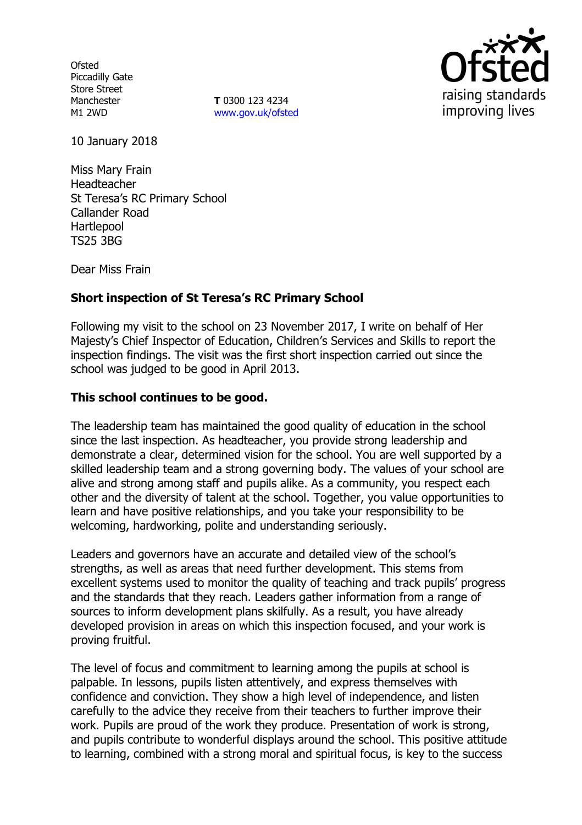**Ofsted** Piccadilly Gate Store Street Manchester M1 2WD

**T** 0300 123 4234 www.gov.uk/ofsted



10 January 2018

Miss Mary Frain Headteacher St Teresa's RC Primary School Callander Road Hartlepool TS25 3BG

Dear Miss Frain

# **Short inspection of St Teresa's RC Primary School**

Following my visit to the school on 23 November 2017, I write on behalf of Her Majesty's Chief Inspector of Education, Children's Services and Skills to report the inspection findings. The visit was the first short inspection carried out since the school was judged to be good in April 2013.

### **This school continues to be good.**

The leadership team has maintained the good quality of education in the school since the last inspection. As headteacher, you provide strong leadership and demonstrate a clear, determined vision for the school. You are well supported by a skilled leadership team and a strong governing body. The values of your school are alive and strong among staff and pupils alike. As a community, you respect each other and the diversity of talent at the school. Together, you value opportunities to learn and have positive relationships, and you take your responsibility to be welcoming, hardworking, polite and understanding seriously.

Leaders and governors have an accurate and detailed view of the school's strengths, as well as areas that need further development. This stems from excellent systems used to monitor the quality of teaching and track pupils' progress and the standards that they reach. Leaders gather information from a range of sources to inform development plans skilfully. As a result, you have already developed provision in areas on which this inspection focused, and your work is proving fruitful.

The level of focus and commitment to learning among the pupils at school is palpable. In lessons, pupils listen attentively, and express themselves with confidence and conviction. They show a high level of independence, and listen carefully to the advice they receive from their teachers to further improve their work. Pupils are proud of the work they produce. Presentation of work is strong, and pupils contribute to wonderful displays around the school. This positive attitude to learning, combined with a strong moral and spiritual focus, is key to the success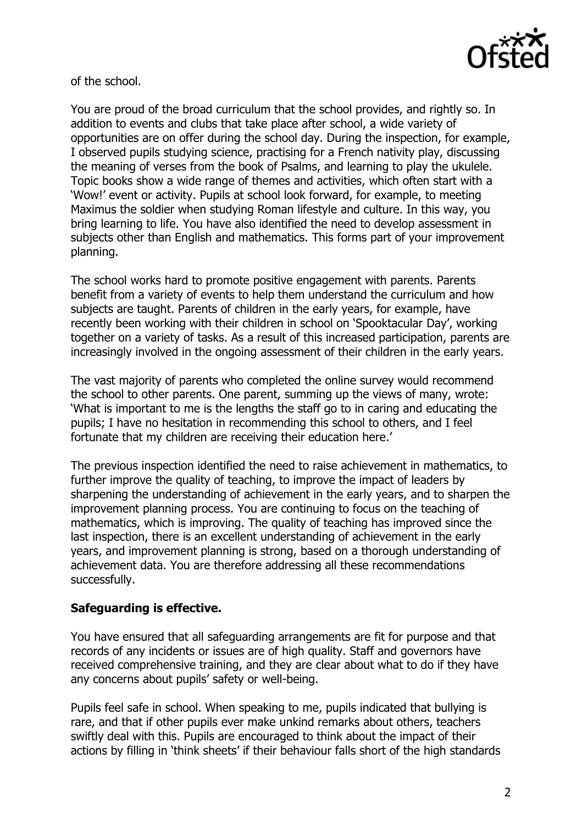

of the school.

You are proud of the broad curriculum that the school provides, and rightly so. In addition to events and clubs that take place after school, a wide variety of opportunities are on offer during the school day. During the inspection, for example, I observed pupils studying science, practising for a French nativity play, discussing the meaning of verses from the book of Psalms, and learning to play the ukulele. Topic books show a wide range of themes and activities, which often start with a 'Wow!' event or activity. Pupils at school look forward, for example, to meeting Maximus the soldier when studying Roman lifestyle and culture. In this way, you bring learning to life. You have also identified the need to develop assessment in subjects other than English and mathematics. This forms part of your improvement planning.

The school works hard to promote positive engagement with parents. Parents benefit from a variety of events to help them understand the curriculum and how subjects are taught. Parents of children in the early years, for example, have recently been working with their children in school on 'Spooktacular Day', working together on a variety of tasks. As a result of this increased participation, parents are increasingly involved in the ongoing assessment of their children in the early years.

The vast majority of parents who completed the online survey would recommend the school to other parents. One parent, summing up the views of many, wrote: 'What is important to me is the lengths the staff go to in caring and educating the pupils; I have no hesitation in recommending this school to others, and I feel fortunate that my children are receiving their education here.'

The previous inspection identified the need to raise achievement in mathematics, to further improve the quality of teaching, to improve the impact of leaders by sharpening the understanding of achievement in the early years, and to sharpen the improvement planning process. You are continuing to focus on the teaching of mathematics, which is improving. The quality of teaching has improved since the last inspection, there is an excellent understanding of achievement in the early years, and improvement planning is strong, based on a thorough understanding of achievement data. You are therefore addressing all these recommendations successfully.

# **Safeguarding is effective.**

You have ensured that all safeguarding arrangements are fit for purpose and that records of any incidents or issues are of high quality. Staff and governors have received comprehensive training, and they are clear about what to do if they have any concerns about pupils' safety or well-being.

Pupils feel safe in school. When speaking to me, pupils indicated that bullying is rare, and that if other pupils ever make unkind remarks about others, teachers swiftly deal with this. Pupils are encouraged to think about the impact of their actions by filling in 'think sheets' if their behaviour falls short of the high standards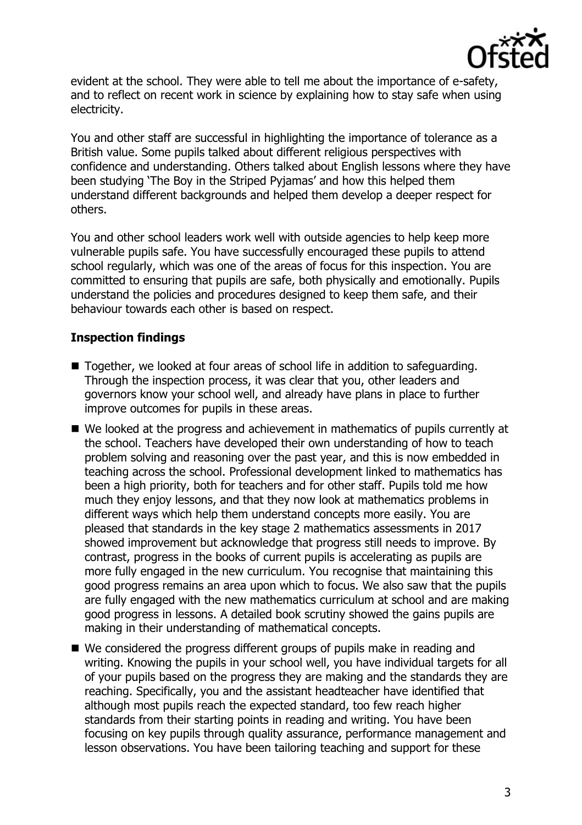

evident at the school. They were able to tell me about the importance of e-safety, and to reflect on recent work in science by explaining how to stay safe when using electricity.

You and other staff are successful in highlighting the importance of tolerance as a British value. Some pupils talked about different religious perspectives with confidence and understanding. Others talked about English lessons where they have been studying 'The Boy in the Striped Pyjamas' and how this helped them understand different backgrounds and helped them develop a deeper respect for others.

You and other school leaders work well with outside agencies to help keep more vulnerable pupils safe. You have successfully encouraged these pupils to attend school regularly, which was one of the areas of focus for this inspection. You are committed to ensuring that pupils are safe, both physically and emotionally. Pupils understand the policies and procedures designed to keep them safe, and their behaviour towards each other is based on respect.

# **Inspection findings**

- Together, we looked at four areas of school life in addition to safeguarding. Through the inspection process, it was clear that you, other leaders and governors know your school well, and already have plans in place to further improve outcomes for pupils in these areas.
- We looked at the progress and achievement in mathematics of pupils currently at the school. Teachers have developed their own understanding of how to teach problem solving and reasoning over the past year, and this is now embedded in teaching across the school. Professional development linked to mathematics has been a high priority, both for teachers and for other staff. Pupils told me how much they enjoy lessons, and that they now look at mathematics problems in different ways which help them understand concepts more easily. You are pleased that standards in the key stage 2 mathematics assessments in 2017 showed improvement but acknowledge that progress still needs to improve. By contrast, progress in the books of current pupils is accelerating as pupils are more fully engaged in the new curriculum. You recognise that maintaining this good progress remains an area upon which to focus. We also saw that the pupils are fully engaged with the new mathematics curriculum at school and are making good progress in lessons. A detailed book scrutiny showed the gains pupils are making in their understanding of mathematical concepts.
- We considered the progress different groups of pupils make in reading and writing. Knowing the pupils in your school well, you have individual targets for all of your pupils based on the progress they are making and the standards they are reaching. Specifically, you and the assistant headteacher have identified that although most pupils reach the expected standard, too few reach higher standards from their starting points in reading and writing. You have been focusing on key pupils through quality assurance, performance management and lesson observations. You have been tailoring teaching and support for these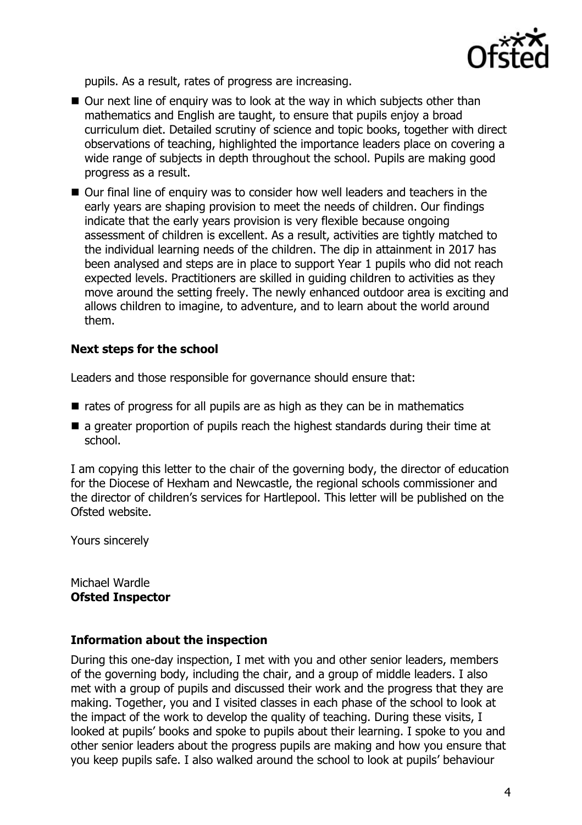

pupils. As a result, rates of progress are increasing.

- Our next line of enquiry was to look at the way in which subjects other than mathematics and English are taught, to ensure that pupils enjoy a broad curriculum diet. Detailed scrutiny of science and topic books, together with direct observations of teaching, highlighted the importance leaders place on covering a wide range of subjects in depth throughout the school. Pupils are making good progress as a result.
- Our final line of enquiry was to consider how well leaders and teachers in the early years are shaping provision to meet the needs of children. Our findings indicate that the early years provision is very flexible because ongoing assessment of children is excellent. As a result, activities are tightly matched to the individual learning needs of the children. The dip in attainment in 2017 has been analysed and steps are in place to support Year 1 pupils who did not reach expected levels. Practitioners are skilled in guiding children to activities as they move around the setting freely. The newly enhanced outdoor area is exciting and allows children to imagine, to adventure, and to learn about the world around them.

### **Next steps for the school**

Leaders and those responsible for governance should ensure that:

- $\blacksquare$  rates of progress for all pupils are as high as they can be in mathematics
- a greater proportion of pupils reach the highest standards during their time at school.

I am copying this letter to the chair of the governing body, the director of education for the Diocese of Hexham and Newcastle, the regional schools commissioner and the director of children's services for Hartlepool. This letter will be published on the Ofsted website.

Yours sincerely

Michael Wardle **Ofsted Inspector**

#### **Information about the inspection**

During this one-day inspection, I met with you and other senior leaders, members of the governing body, including the chair, and a group of middle leaders. I also met with a group of pupils and discussed their work and the progress that they are making. Together, you and I visited classes in each phase of the school to look at the impact of the work to develop the quality of teaching. During these visits, I looked at pupils' books and spoke to pupils about their learning. I spoke to you and other senior leaders about the progress pupils are making and how you ensure that you keep pupils safe. I also walked around the school to look at pupils' behaviour